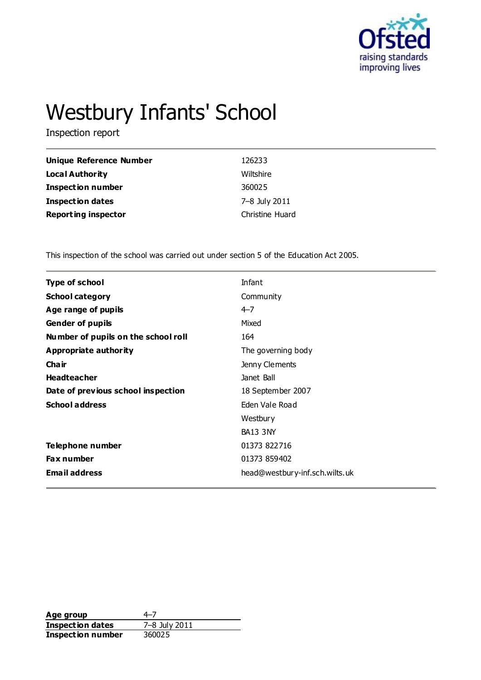

# Westbury Infants' School

Inspection report

| Unique Reference Number    | 126233          |
|----------------------------|-----------------|
| <b>Local Authority</b>     | Wiltshire       |
| <b>Inspection number</b>   | 360025          |
| <b>Inspection dates</b>    | 7-8 July 2011   |
| <b>Reporting inspector</b> | Christine Huard |

This inspection of the school was carried out under section 5 of the Education Act 2005.

| <b>Type of school</b>               | Infant                         |
|-------------------------------------|--------------------------------|
| <b>School category</b>              | Community                      |
| Age range of pupils                 | $4 - 7$                        |
| <b>Gender of pupils</b>             | Mixed                          |
| Number of pupils on the school roll | 164                            |
| <b>Appropriate authority</b>        | The governing body             |
| Cha ir                              | Jenny Clements                 |
| <b>Headteacher</b>                  | Janet Ball                     |
| Date of previous school inspection  | 18 September 2007              |
| <b>School address</b>               | Eden Vale Road                 |
|                                     | Westbury                       |
|                                     | <b>BA13 3NY</b>                |
| Telephone number                    | 01373 822716                   |
| <b>Fax number</b>                   | 01373 859402                   |
| <b>Email address</b>                | head@westbury-inf.sch.wilts.uk |
|                                     |                                |

**Age group** 4–7<br> **Inspection dates** 7–8 July 2011 **Inspection dates** 7–8 July<br>**Inspection number** 360025 **Inspection number**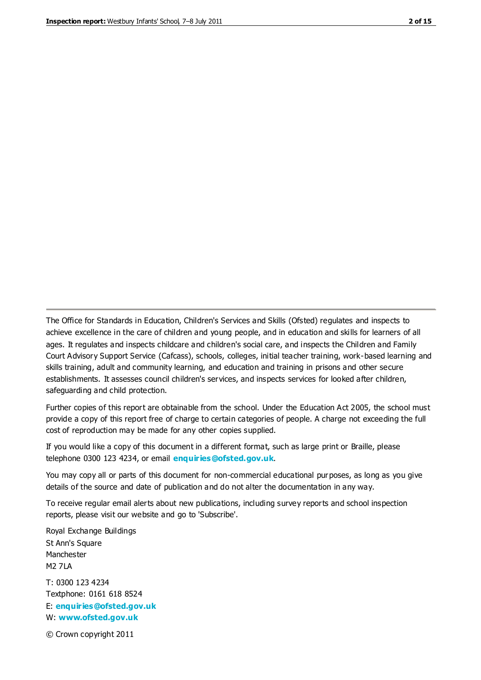The Office for Standards in Education, Children's Services and Skills (Ofsted) regulates and inspects to achieve excellence in the care of children and young people, and in education and skills for learners of all ages. It regulates and inspects childcare and children's social care, and inspects the Children and Family Court Advisory Support Service (Cafcass), schools, colleges, initial teacher training, work-based learning and skills training, adult and community learning, and education and training in prisons and other secure establishments. It assesses council children's services, and inspects services for looked after children, safeguarding and child protection.

Further copies of this report are obtainable from the school. Under the Education Act 2005, the school must provide a copy of this report free of charge to certain categories of people. A charge not exceeding the full cost of reproduction may be made for any other copies supplied.

If you would like a copy of this document in a different format, such as large print or Braille, please telephone 0300 123 4234, or email **[enquiries@ofsted.gov.uk](mailto:enquiries@ofsted.gov.uk)**.

You may copy all or parts of this document for non-commercial educational purposes, as long as you give details of the source and date of publication and do not alter the documentation in any way.

To receive regular email alerts about new publications, including survey reports and school inspection reports, please visit our website and go to 'Subscribe'.

Royal Exchange Buildings St Ann's Square Manchester M2 7LA T: 0300 123 4234 Textphone: 0161 618 8524 E: **[enquiries@ofsted.gov.uk](mailto:enquiries@ofsted.gov.uk)**

W: **[www.ofsted.gov.uk](http://www.ofsted.gov.uk/)**

© Crown copyright 2011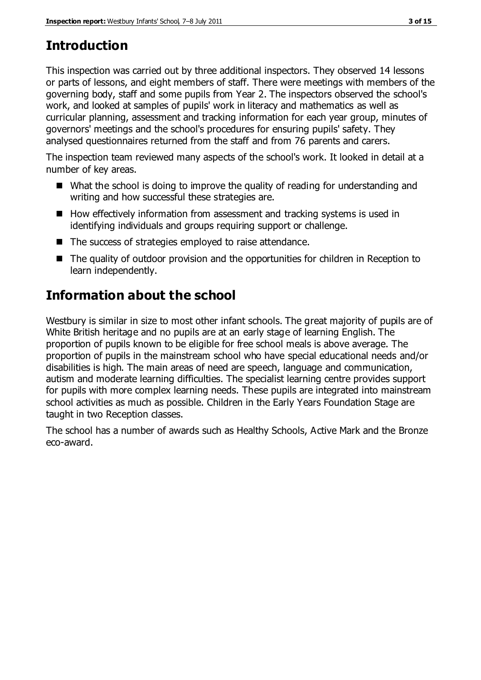# **Introduction**

This inspection was carried out by three additional inspectors. They observed 14 lessons or parts of lessons, and eight members of staff. There were meetings with members of the governing body, staff and some pupils from Year 2. The inspectors observed the school's work, and looked at samples of pupils' work in literacy and mathematics as well as curricular planning, assessment and tracking information for each year group, minutes of governors' meetings and the school's procedures for ensuring pupils' safety. They analysed questionnaires returned from the staff and from 76 parents and carers.

The inspection team reviewed many aspects of the school's work. It looked in detail at a number of key areas.

- What the school is doing to improve the quality of reading for understanding and writing and how successful these strategies are.
- $\blacksquare$  How effectively information from assessment and tracking systems is used in identifying individuals and groups requiring support or challenge.
- The success of strategies employed to raise attendance.
- The quality of outdoor provision and the opportunities for children in Reception to learn independently.

# **Information about the school**

Westbury is similar in size to most other infant schools. The great majority of pupils are of White British heritage and no pupils are at an early stage of learning English. The proportion of pupils known to be eligible for free school meals is above average. The proportion of pupils in the mainstream school who have special educational needs and/or disabilities is high. The main areas of need are speech, language and communication, autism and moderate learning difficulties. The specialist learning centre provides support for pupils with more complex learning needs. These pupils are integrated into mainstream school activities as much as possible. Children in the Early Years Foundation Stage are taught in two Reception classes.

The school has a number of awards such as Healthy Schools, Active Mark and the Bronze eco-award.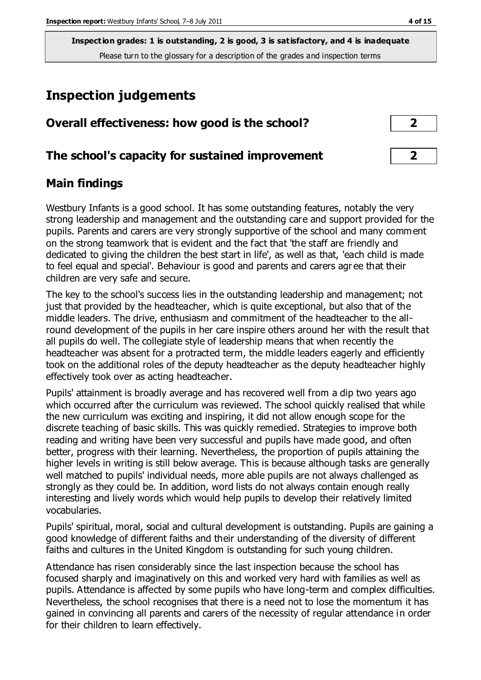# **Inspection judgements**

| Overall effectiveness: how good is the school?  |  |
|-------------------------------------------------|--|
| The school's capacity for sustained improvement |  |

#### **Main findings**

Westbury Infants is a good school. It has some outstanding features, notably the very strong leadership and management and the outstanding care and support provided for the pupils. Parents and carers are very strongly supportive of the school and many comment on the strong teamwork that is evident and the fact that 'the staff are friendly and dedicated to giving the children the best start in life', as well as that, 'each child is made to feel equal and special'. Behaviour is good and parents and carers agr ee that their children are very safe and secure.

The key to the school's success lies in the outstanding leadership and management; not just that provided by the headteacher, which is quite exceptional, but also that of the middle leaders. The drive, enthusiasm and commitment of the headteacher to the allround development of the pupils in her care inspire others around her with the result that all pupils do well. The collegiate style of leadership means that when recently the headteacher was absent for a protracted term, the middle leaders eagerly and efficiently took on the additional roles of the deputy headteacher as the deputy headteacher highly effectively took over as acting headteacher.

Pupils' attainment is broadly average and has recovered well from a dip two years ago which occurred after the curriculum was reviewed. The school quickly realised that while the new curriculum was exciting and inspiring, it did not allow enough scope for the discrete teaching of basic skills. This was quickly remedied. Strategies to improve both reading and writing have been very successful and pupils have made good, and often better, progress with their learning. Nevertheless, the proportion of pupils attaining the higher levels in writing is still below average. This is because although tasks are generally well matched to pupils' individual needs, more able pupils are not always challenged as strongly as they could be. In addition, word lists do not always contain enough really interesting and lively words which would help pupils to develop their relatively limited vocabularies.

Pupils' spiritual, moral, social and cultural development is outstanding. Pupils are gaining a good knowledge of different faiths and their understanding of the diversity of different faiths and cultures in the United Kingdom is outstanding for such young children.

Attendance has risen considerably since the last inspection because the school has focused sharply and imaginatively on this and worked very hard with families as well as pupils. Attendance is affected by some pupils who have long-term and complex difficulties. Nevertheless, the school recognises that there is a need not to lose the momentum it has gained in convincing all parents and carers of the necessity of regular attendance in order for their children to learn effectively.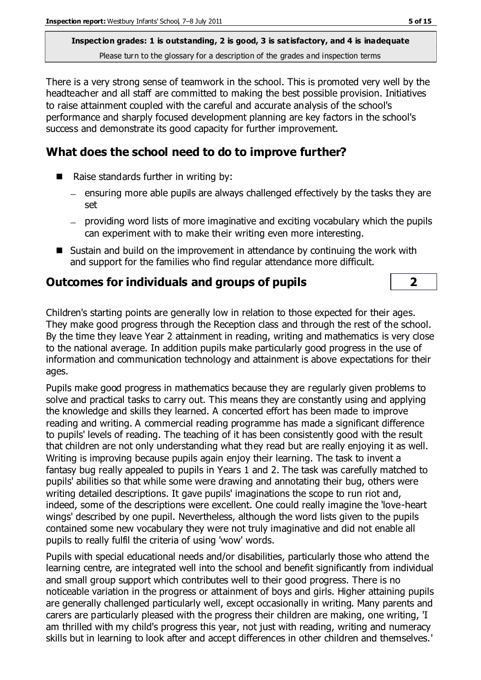There is a very strong sense of teamwork in the school. This is promoted very well by the headteacher and all staff are committed to making the best possible provision. Initiatives to raise attainment coupled with the careful and accurate analysis of the school's performance and sharply focused development planning are key factors in the school's success and demonstrate its good capacity for further improvement.

## **What does the school need to do to improve further?**

- Raise standards further in writing by:
	- $-$  ensuring more able pupils are always challenged effectively by the tasks they are set
	- providing word lists of more imaginative and exciting vocabulary which the pupils can experiment with to make their writing even more interesting.
- Sustain and build on the improvement in attendance by continuing the work with and support for the families who find regular attendance more difficult.

## **Outcomes for individuals and groups of pupils 2**

Children's starting points are generally low in relation to those expected for their ages. They make good progress through the Reception class and through the rest of the school. By the time they leave Year 2 attainment in reading, writing and mathematics is very close to the national average. In addition pupils make particularly good progress in the use of information and communication technology and attainment is above expectations for their ages.

Pupils make good progress in mathematics because they are regularly given problems to solve and practical tasks to carry out. This means they are constantly using and applying the knowledge and skills they learned. A concerted effort has been made to improve reading and writing. A commercial reading programme has made a significant difference to pupils' levels of reading. The teaching of it has been consistently good with the result that children are not only understanding what they read but are really enjoying it as well. Writing is improving because pupils again enjoy their learning. The task to invent a fantasy bug really appealed to pupils in Years 1 and 2. The task was carefully matched to pupils' abilities so that while some were drawing and annotating their bug, others were writing detailed descriptions. It gave pupils' imaginations the scope to run riot and, indeed, some of the descriptions were excellent. One could really imagine the 'love-heart wings' described by one pupil. Nevertheless, although the word lists given to the pupils contained some new vocabulary they were not truly imaginative and did not enable all pupils to really fulfil the criteria of using 'wow' words.

Pupils with special educational needs and/or disabilities, particularly those who attend the learning centre, are integrated well into the school and benefit significantly from individual and small group support which contributes well to their good progress. There is no noticeable variation in the progress or attainment of boys and girls. Higher attaining pupils are generally challenged particularly well, except occasionally in writing. Many parents and carers are particularly pleased with the progress their children are making, one writing, 'I am thrilled with my child's progress this year, not just with reading, writing and numeracy skills but in learning to look after and accept differences in other children and themselves.'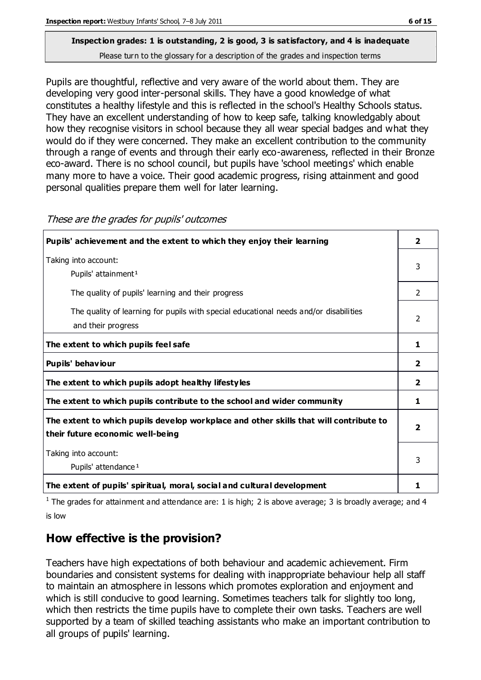Pupils are thoughtful, reflective and very aware of the world about them. They are developing very good inter-personal skills. They have a good knowledge of what constitutes a healthy lifestyle and this is reflected in the school's Healthy Schools status. They have an excellent understanding of how to keep safe, talking knowledgably about how they recognise visitors in school because they all wear special badges and what they would do if they were concerned. They make an excellent contribution to the community through a range of events and through their early eco-awareness, reflected in their Bronze eco-award. There is no school council, but pupils have 'school meetings' which enable many more to have a voice. Their good academic progress, rising attainment and good personal qualities prepare them well for later learning.

| Pupils' achievement and the extent to which they enjoy their learning                                                     | 2 |
|---------------------------------------------------------------------------------------------------------------------------|---|
| Taking into account:<br>Pupils' attainment <sup>1</sup>                                                                   | 3 |
| The quality of pupils' learning and their progress                                                                        | 2 |
| The quality of learning for pupils with special educational needs and/or disabilities<br>and their progress               | 2 |
| The extent to which pupils feel safe                                                                                      | 1 |
| Pupils' behaviour                                                                                                         | 2 |
| The extent to which pupils adopt healthy lifestyles                                                                       | 2 |
| The extent to which pupils contribute to the school and wider community                                                   | 1 |
| The extent to which pupils develop workplace and other skills that will contribute to<br>their future economic well-being | 2 |
| Taking into account:<br>Pupils' attendance <sup>1</sup>                                                                   | 3 |
| The extent of pupils' spiritual, moral, social and cultural development                                                   | 1 |

These are the grades for pupils' outcomes

<sup>1</sup> The grades for attainment and attendance are: 1 is high; 2 is above average; 3 is broadly average; and 4 is low

## **How effective is the provision?**

Teachers have high expectations of both behaviour and academic achievement. Firm boundaries and consistent systems for dealing with inappropriate behaviour help all staff to maintain an atmosphere in lessons which promotes exploration and enjoyment and which is still conducive to good learning. Sometimes teachers talk for slightly too long, which then restricts the time pupils have to complete their own tasks. Teachers are well supported by a team of skilled teaching assistants who make an important contribution to all groups of pupils' learning.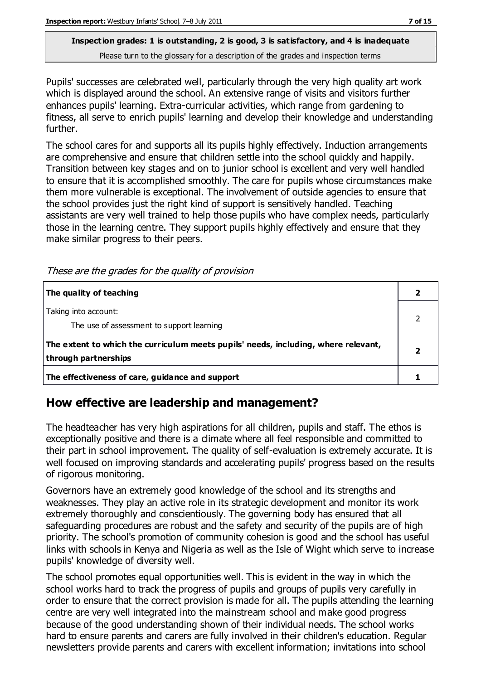Pupils' successes are celebrated well, particularly through the very high quality art work which is displayed around the school. An extensive range of visits and visitors further enhances pupils' learning. Extra-curricular activities, which range from gardening to fitness, all serve to enrich pupils' learning and develop their knowledge and understanding further.

The school cares for and supports all its pupils highly effectively. Induction arrangements are comprehensive and ensure that children settle into the school quickly and happily. Transition between key stages and on to junior school is excellent and very well handled to ensure that it is accomplished smoothly. The care for pupils whose circumstances make them more vulnerable is exceptional. The involvement of outside agencies to ensure that the school provides just the right kind of support is sensitively handled. Teaching assistants are very well trained to help those pupils who have complex needs, particularly those in the learning centre. They support pupils highly effectively and ensure that they make similar progress to their peers.

| <i>rics are are grades for are gaanty of provision</i>                             |                          |
|------------------------------------------------------------------------------------|--------------------------|
| The quality of teaching                                                            | $\overline{\mathbf{2}}$  |
| Taking into account:                                                               | $\mathcal{P}$            |
| The use of assessment to support learning                                          |                          |
| The extent to which the curriculum meets pupils' needs, including, where relevant, | $\overline{\phantom{a}}$ |
| through partnerships                                                               |                          |
| The effectiveness of care, guidance and support                                    |                          |

These are the grades for the quality of provision

## **How effective are leadership and management?**

The headteacher has very high aspirations for all children, pupils and staff. The ethos is exceptionally positive and there is a climate where all feel responsible and committed to their part in school improvement. The quality of self-evaluation is extremely accurate. It is well focused on improving standards and accelerating pupils' progress based on the results of rigorous monitoring.

Governors have an extremely good knowledge of the school and its strengths and weaknesses. They play an active role in its strategic development and monitor its work extremely thoroughly and conscientiously. The governing body has ensured that all safeguarding procedures are robust and the safety and security of the pupils are of high priority. The school's promotion of community cohesion is good and the school has useful links with schools in Kenya and Nigeria as well as the Isle of Wight which serve to increase pupils' knowledge of diversity well.

The school promotes equal opportunities well. This is evident in the way in which the school works hard to track the progress of pupils and groups of pupils very carefully in order to ensure that the correct provision is made for all. The pupils attending the learning centre are very well integrated into the mainstream school and make good progress because of the good understanding shown of their individual needs. The school works hard to ensure parents and carers are fully involved in their children's education. Regular newsletters provide parents and carers with excellent information; invitations into school

2

**2**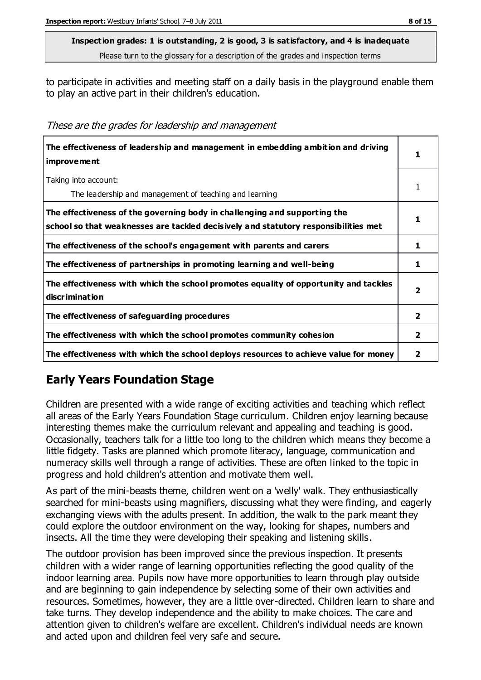to participate in activities and meeting staff on a daily basis in the playground enable them to play an active part in their children's education.

These are the grades for leadership and management

| The effectiveness of leadership and management in embedding ambition and driving<br>improvement                                                                  |                |
|------------------------------------------------------------------------------------------------------------------------------------------------------------------|----------------|
| Taking into account:<br>The leadership and management of teaching and learning                                                                                   |                |
| The effectiveness of the governing body in challenging and supporting the<br>school so that weaknesses are tackled decisively and statutory responsibilities met |                |
| The effectiveness of the school's engagement with parents and carers                                                                                             |                |
| The effectiveness of partnerships in promoting learning and well-being                                                                                           | 1              |
| The effectiveness with which the school promotes equality of opportunity and tackles<br>discrimination                                                           | 2              |
| The effectiveness of safeguarding procedures                                                                                                                     | $\overline{2}$ |
| The effectiveness with which the school promotes community cohesion                                                                                              | 2              |
| The effectiveness with which the school deploys resources to achieve value for money                                                                             | 2              |

## **Early Years Foundation Stage**

Children are presented with a wide range of exciting activities and teaching which reflect all areas of the Early Years Foundation Stage curriculum. Children enjoy learning because interesting themes make the curriculum relevant and appealing and teaching is good. Occasionally, teachers talk for a little too long to the children which means they become a little fidgety. Tasks are planned which promote literacy, language, communication and numeracy skills well through a range of activities. These are often linked to the topic in progress and hold children's attention and motivate them well.

As part of the mini-beasts theme, children went on a 'welly' walk. They enthusiastically searched for mini-beasts using magnifiers, discussing what they were finding, and eagerly exchanging views with the adults present. In addition, the walk to the park meant they could explore the outdoor environment on the way, looking for shapes, numbers and insects. All the time they were developing their speaking and listening skills.

The outdoor provision has been improved since the previous inspection. It presents children with a wider range of learning opportunities reflecting the good quality of the indoor learning area. Pupils now have more opportunities to learn through play outside and are beginning to gain independence by selecting some of their own activities and resources. Sometimes, however, they are a little over-directed. Children learn to share and take turns. They develop independence and the ability to make choices. The care and attention given to children's welfare are excellent. Children's individual needs are known and acted upon and children feel very safe and secure.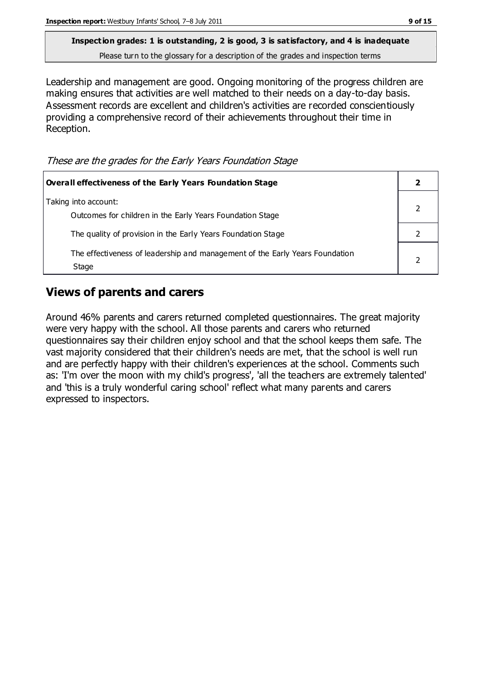Leadership and management are good. Ongoing monitoring of the progress children are making ensures that activities are well matched to their needs on a day-to-day basis. Assessment records are excellent and children's activities are recorded conscientiously providing a comprehensive record of their achievements throughout their time in Reception.

These are the grades for the Early Years Foundation Stage

| <b>Overall effectiveness of the Early Years Foundation Stage</b>                      |  |
|---------------------------------------------------------------------------------------|--|
| Taking into account:<br>Outcomes for children in the Early Years Foundation Stage     |  |
| The quality of provision in the Early Years Foundation Stage                          |  |
| The effectiveness of leadership and management of the Early Years Foundation<br>Stage |  |

## **Views of parents and carers**

Around 46% parents and carers returned completed questionnaires. The great majority were very happy with the school. All those parents and carers who returned questionnaires say their children enjoy school and that the school keeps them safe. The vast majority considered that their children's needs are met, that the school is well run and are perfectly happy with their children's experiences at the school. Comments such as: 'I'm over the moon with my child's progress', 'all the teachers are extremely talented' and 'this is a truly wonderful caring school' reflect what many parents and carers expressed to inspectors.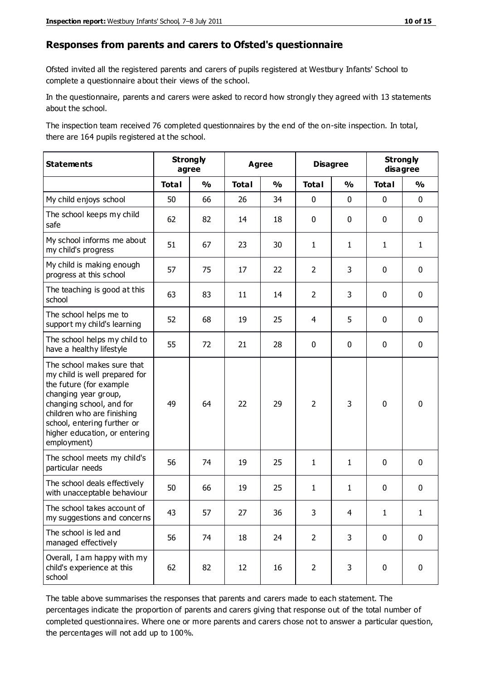#### **Responses from parents and carers to Ofsted's questionnaire**

Ofsted invited all the registered parents and carers of pupils registered at Westbury Infants' School to complete a questionnaire about their views of the school.

In the questionnaire, parents and carers were asked to record how strongly they agreed with 13 statements about the school.

The inspection team received 76 completed questionnaires by the end of the on-site inspection. In total, there are 164 pupils registered at the school.

| <b>Statements</b>                                                                                                                                                                                                                                       |              | <b>Strongly</b><br><b>Agree</b><br>agree |              |               | <b>Disagree</b> |               | <b>Strongly</b><br>disagree |               |
|---------------------------------------------------------------------------------------------------------------------------------------------------------------------------------------------------------------------------------------------------------|--------------|------------------------------------------|--------------|---------------|-----------------|---------------|-----------------------------|---------------|
|                                                                                                                                                                                                                                                         | <b>Total</b> | $\frac{1}{2}$                            | <b>Total</b> | $\frac{1}{2}$ | <b>Total</b>    | $\frac{1}{2}$ | <b>Total</b>                | $\frac{1}{2}$ |
| My child enjoys school                                                                                                                                                                                                                                  | 50           | 66                                       | 26           | 34            | 0               | $\mathbf 0$   | $\mathbf 0$                 | $\mathbf 0$   |
| The school keeps my child<br>safe                                                                                                                                                                                                                       | 62           | 82                                       | 14           | 18            | 0               | $\mathbf 0$   | $\mathbf 0$                 | $\mathbf 0$   |
| My school informs me about<br>my child's progress                                                                                                                                                                                                       | 51           | 67                                       | 23           | 30            | 1               | $\mathbf{1}$  | $\mathbf{1}$                | $\mathbf{1}$  |
| My child is making enough<br>progress at this school                                                                                                                                                                                                    | 57           | 75                                       | 17           | 22            | $\overline{2}$  | 3             | $\mathbf 0$                 | $\pmb{0}$     |
| The teaching is good at this<br>school                                                                                                                                                                                                                  | 63           | 83                                       | 11           | 14            | $\overline{2}$  | 3             | $\mathbf 0$                 | $\mathbf 0$   |
| The school helps me to<br>support my child's learning                                                                                                                                                                                                   | 52           | 68                                       | 19           | 25            | 4               | 5             | 0                           | $\mathbf 0$   |
| The school helps my child to<br>have a healthy lifestyle                                                                                                                                                                                                | 55           | 72                                       | 21           | 28            | 0               | 0             | $\mathbf 0$                 | $\mathbf 0$   |
| The school makes sure that<br>my child is well prepared for<br>the future (for example<br>changing year group,<br>changing school, and for<br>children who are finishing<br>school, entering further or<br>higher education, or entering<br>employment) | 49           | 64                                       | 22           | 29            | $\overline{2}$  | 3             | $\mathbf 0$                 | $\mathbf 0$   |
| The school meets my child's<br>particular needs                                                                                                                                                                                                         | 56           | 74                                       | 19           | 25            | 1               | 1             | $\mathbf 0$                 | $\mathbf 0$   |
| The school deals effectively<br>with unacceptable behaviour                                                                                                                                                                                             | 50           | 66                                       | 19           | 25            | $\mathbf{1}$    | $\mathbf{1}$  | 0                           | $\pmb{0}$     |
| The school takes account of<br>my suggestions and concerns                                                                                                                                                                                              | 43           | 57                                       | 27           | 36            | 3               | 4             | 1                           | 1             |
| The school is led and<br>managed effectively                                                                                                                                                                                                            | 56           | 74                                       | 18           | 24            | $\overline{2}$  | 3             | $\mathbf 0$                 | $\mathbf 0$   |
| Overall, I am happy with my<br>child's experience at this<br>school                                                                                                                                                                                     | 62           | 82                                       | 12           | 16            | $\overline{2}$  | 3             | $\mathbf 0$                 | $\pmb{0}$     |

The table above summarises the responses that parents and carers made to each statement. The percentages indicate the proportion of parents and carers giving that response out of the total number of completed questionnaires. Where one or more parents and carers chose not to answer a particular question, the percentages will not add up to 100%.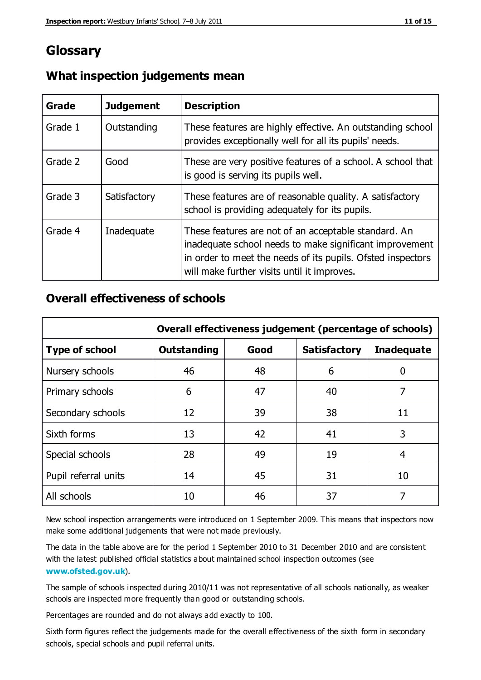## **Glossary**

| Grade   | <b>Judgement</b> | <b>Description</b>                                                                                                                                                                                                            |
|---------|------------------|-------------------------------------------------------------------------------------------------------------------------------------------------------------------------------------------------------------------------------|
| Grade 1 | Outstanding      | These features are highly effective. An outstanding school<br>provides exceptionally well for all its pupils' needs.                                                                                                          |
| Grade 2 | Good             | These are very positive features of a school. A school that<br>is good is serving its pupils well.                                                                                                                            |
| Grade 3 | Satisfactory     | These features are of reasonable quality. A satisfactory<br>school is providing adequately for its pupils.                                                                                                                    |
| Grade 4 | Inadequate       | These features are not of an acceptable standard. An<br>inadequate school needs to make significant improvement<br>in order to meet the needs of its pupils. Ofsted inspectors<br>will make further visits until it improves. |

#### **What inspection judgements mean**

#### **Overall effectiveness of schools**

|                       | Overall effectiveness judgement (percentage of schools) |      |                     |                   |
|-----------------------|---------------------------------------------------------|------|---------------------|-------------------|
| <b>Type of school</b> | <b>Outstanding</b>                                      | Good | <b>Satisfactory</b> | <b>Inadequate</b> |
| Nursery schools       | 46                                                      | 48   | 6                   |                   |
| Primary schools       | 6                                                       | 47   | 40                  | 7                 |
| Secondary schools     | 12                                                      | 39   | 38                  | 11                |
| Sixth forms           | 13                                                      | 42   | 41                  | 3                 |
| Special schools       | 28                                                      | 49   | 19                  | 4                 |
| Pupil referral units  | 14                                                      | 45   | 31                  | 10                |
| All schools           | 10                                                      | 46   | 37                  |                   |

New school inspection arrangements were introduced on 1 September 2009. This means that inspectors now make some additional judgements that were not made previously.

The data in the table above are for the period 1 September 2010 to 31 December 2010 and are consistent with the latest published official statistics about maintained school inspection outcomes (see **[www.ofsted.gov.uk](http://www.ofsted.gov.uk/)**).

The sample of schools inspected during 2010/11 was not representative of all schools nationally, as weaker schools are inspected more frequently than good or outstanding schools.

Percentages are rounded and do not always add exactly to 100.

Sixth form figures reflect the judgements made for the overall effectiveness of the sixth form in secondary schools, special schools and pupil referral units.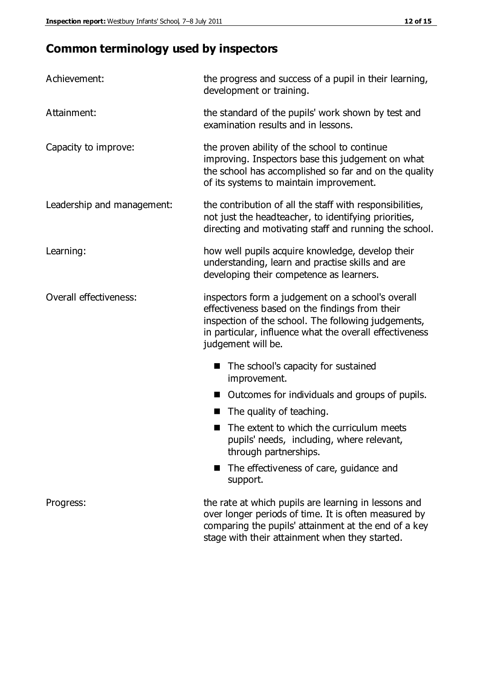## **Common terminology used by inspectors**

| Achievement:               | the progress and success of a pupil in their learning,<br>development or training.                                                                                                                                                          |  |  |
|----------------------------|---------------------------------------------------------------------------------------------------------------------------------------------------------------------------------------------------------------------------------------------|--|--|
| Attainment:                | the standard of the pupils' work shown by test and<br>examination results and in lessons.                                                                                                                                                   |  |  |
| Capacity to improve:       | the proven ability of the school to continue<br>improving. Inspectors base this judgement on what<br>the school has accomplished so far and on the quality<br>of its systems to maintain improvement.                                       |  |  |
| Leadership and management: | the contribution of all the staff with responsibilities,<br>not just the headteacher, to identifying priorities,<br>directing and motivating staff and running the school.                                                                  |  |  |
| Learning:                  | how well pupils acquire knowledge, develop their<br>understanding, learn and practise skills and are<br>developing their competence as learners.                                                                                            |  |  |
| Overall effectiveness:     | inspectors form a judgement on a school's overall<br>effectiveness based on the findings from their<br>inspection of the school. The following judgements,<br>in particular, influence what the overall effectiveness<br>judgement will be. |  |  |
|                            | The school's capacity for sustained<br>improvement.                                                                                                                                                                                         |  |  |
|                            | Outcomes for individuals and groups of pupils.                                                                                                                                                                                              |  |  |
|                            | The quality of teaching.                                                                                                                                                                                                                    |  |  |
|                            | The extent to which the curriculum meets<br>pupils' needs, including, where relevant,<br>through partnerships.                                                                                                                              |  |  |
|                            | The effectiveness of care, guidance and<br>support.                                                                                                                                                                                         |  |  |
| Progress:                  | the rate at which pupils are learning in lessons and<br>over longer periods of time. It is often measured by<br>comparing the pupils' attainment at the end of a key                                                                        |  |  |

stage with their attainment when they started.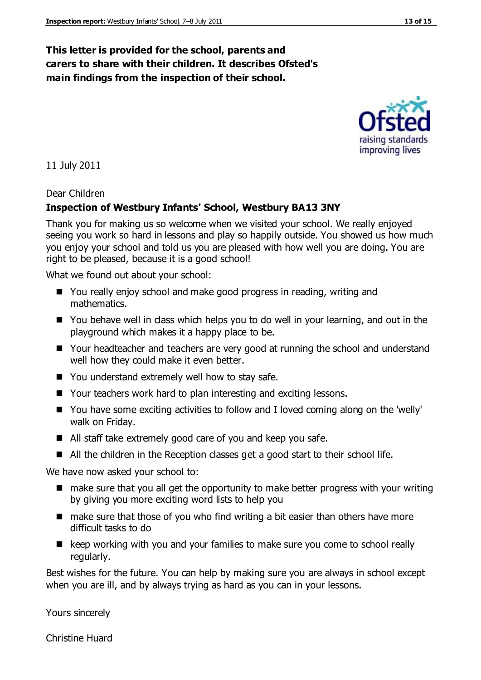#### **This letter is provided for the school, parents and carers to share with their children. It describes Ofsted's main findings from the inspection of their school.**

11 July 2011

Dear Children

#### **Inspection of Westbury Infants' School, Westbury BA13 3NY**

Thank you for making us so welcome when we visited your school. We really enjoyed seeing you work so hard in lessons and play so happily outside. You showed us how much you enjoy your school and told us you are pleased with how well you are doing. You are right to be pleased, because it is a good school!

What we found out about your school:

- You really enjoy school and make good progress in reading, writing and mathematics.
- You behave well in class which helps you to do well in your learning, and out in the playground which makes it a happy place to be.
- Your headteacher and teachers are very good at running the school and understand well how they could make it even better.
- You understand extremely well how to stay safe.
- Your teachers work hard to plan interesting and exciting lessons.
- You have some exciting activities to follow and I loved coming along on the 'welly' walk on Friday.
- All staff take extremely good care of you and keep you safe.
- All the children in the Reception classes get a good start to their school life.

We have now asked your school to:

- make sure that you all get the opportunity to make better progress with your writing by giving you more exciting word lists to help you
- make sure that those of you who find writing a bit easier than others have more difficult tasks to do
- $\blacksquare$  keep working with you and your families to make sure you come to school really regularly.

Best wishes for the future. You can help by making sure you are always in school except when you are ill, and by always trying as hard as you can in your lessons.

Yours sincerely

Christine Huard

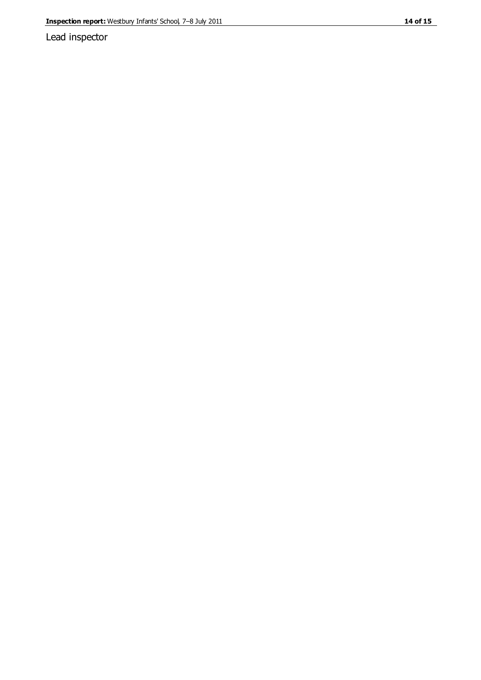Lead inspector